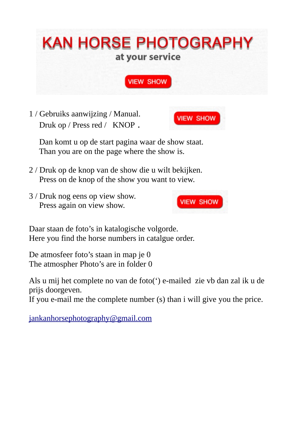

1 / Gebruiks aanwijzing / Manual. Druk op / Press red / KNOP .



 Dan komt u op de start pagina waar de show staat. Than you are on the page where the show is.

- 2 / Druk op de knop van de show die u wilt bekijken. Press on de knop of the show you want to view.
- 3 / Druk nog eens op view show. Press again on view show.



Daar staan de foto's in katalogische volgorde. Here you find the horse numbers in catalgue order.

De atmosfeer foto's staan in map je 0 The atmospher Photo's are in folder 0

Als u mij het complete no van de foto(') e-mailed zie vb dan zal ik u de prijs doorgeven.

If you e-mail me the complete number (s) than i will give you the price.

[jankanhorsephotography@gmail.com](mailto:jankanhorsephotography@gmail.com)